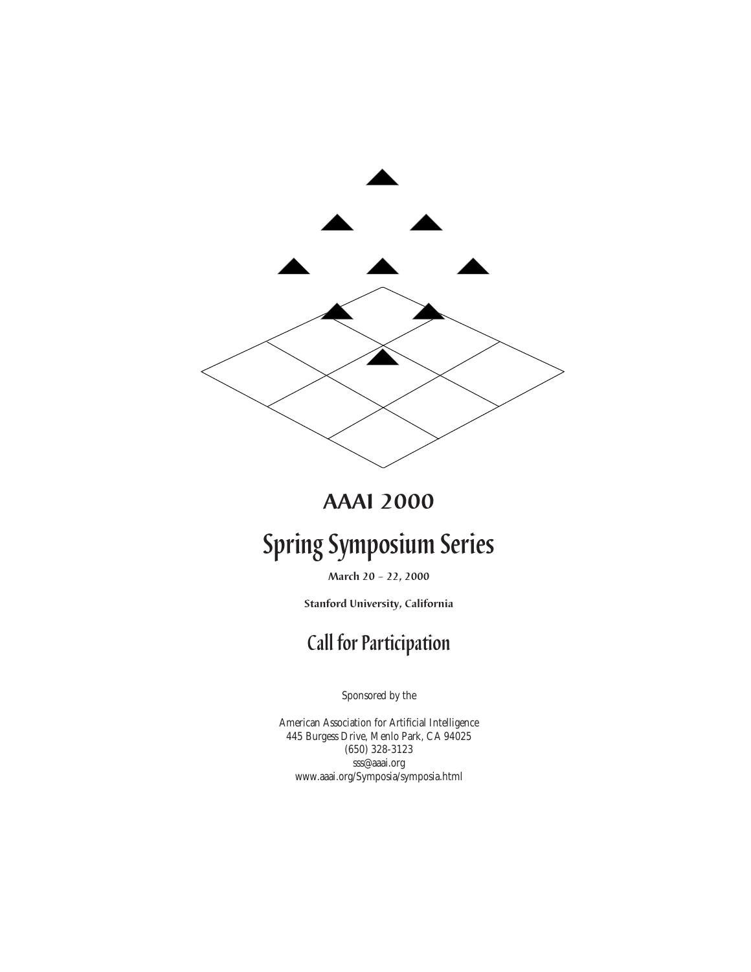

### **AAAI 2000**

# **Spring Symposium Series**

**March 20 – 22, 2000**

**Stanford University, California**

## **Call for Participation**

Sponsored by the

American Association for Artificial Intelligence 445 Burgess Drive, Menlo Park, CA 94025 (650) 328-3123 sss@aaai.org www.aaai.org/Symposia/symposia.html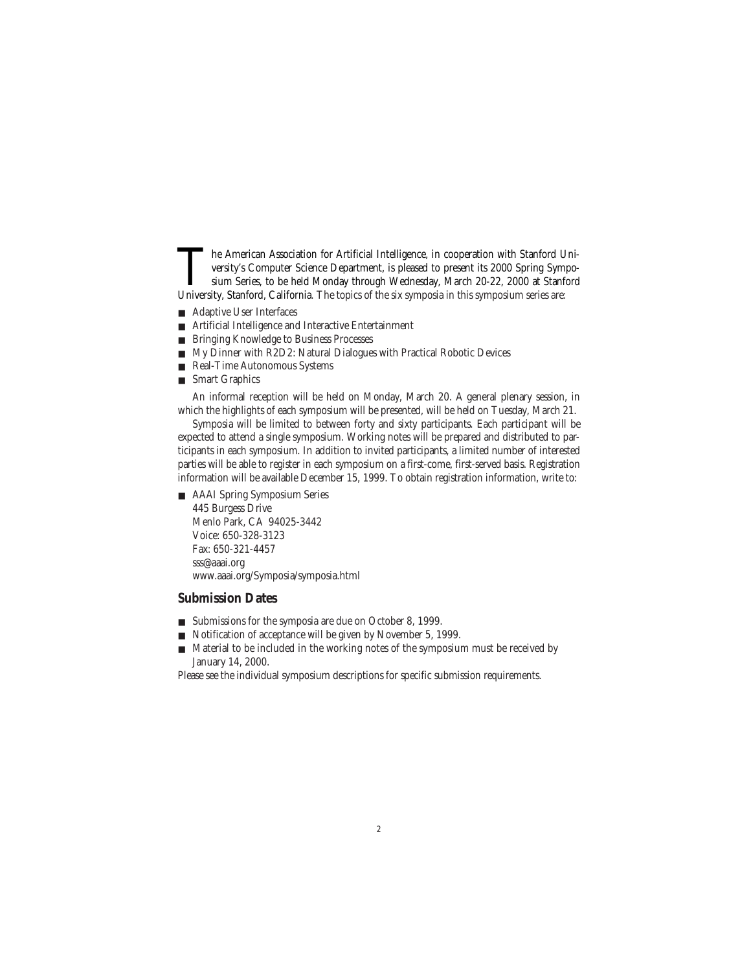The American Association for Artificial Intelligence, in cooperation with Stanford University's Computer Science Department, is pleased to present its 2000 Spring Symposium Series, to be held Monday through Wednesday, March 20-22, 2000 at Stanford University, Stanford, California*.* The topics of the six symposia in this symposium series are:

- Adaptive User Interfaces
- Artificial Intelligence and Interactive Entertainment
- Bringing Knowledge to Business Processes
- My Dinner with R2D2: Natural Dialogues with Practical Robotic Devices
- Real-Time Autonomous Systems
- Smart Graphics

An informal reception will be held on Monday, March 20. A general plenary session, in which the highlights of each symposium will be presented, will be held on Tuesday, March 21.

Symposia will be limited to between forty and sixty participants. Each participant will be expected to attend a single symposium. Working notes will be prepared and distributed to participants in each symposium. In addition to invited participants, a limited number of interested parties will be able to register in each symposium on a first-come, first-served basis. Registration information will be available December 15, 1999. To obtain registration information, write to:

■ AAAI Spring Symposium Series

445 Burgess Drive Menlo Park, CA 94025-3442 Voice: 650-328-3123 Fax: 650-321-4457 sss@aaai.org www.aaai.org/Symposia/symposia.html

#### **Submission Dates**

- Submissions for the symposia are due on October 8, 1999.
- Notification of acceptance will be given by November 5, 1999.
- Material to be included in the working notes of the symposium must be received by January 14, 2000.

Please see the individual symposium descriptions for specific submission requirements.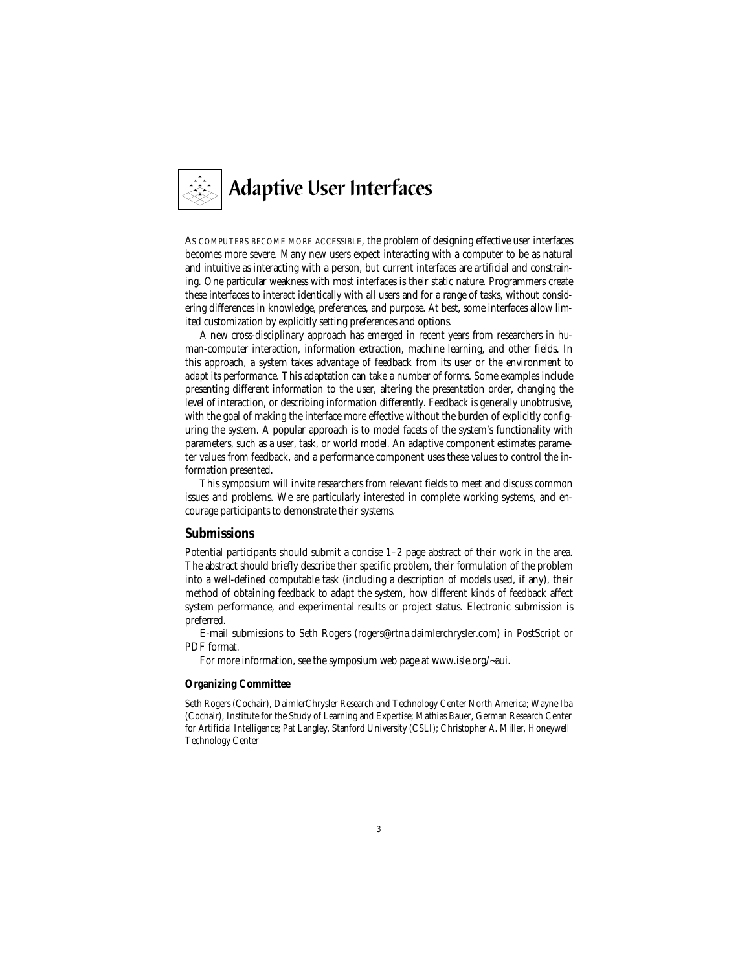

AS COMPUTERS BECOME MORE ACCESSIBLE, the problem of designing effective user interfaces becomes more severe. Many new users expect interacting with a computer to be as natural and intuitive as interacting with a person, but current interfaces are artificial and constraining. One particular weakness with most interfaces is their static nature. Programmers create these interfaces to interact identically with all users and for a range of tasks, without considering differences in knowledge, preferences, and purpose. At best, some interfaces allow limited customization by explicitly setting preferences and options.

A new cross-disciplinary approach has emerged in recent years from researchers in human-computer interaction, information extraction, machine learning, and other fields. In this approach, a system takes advantage of feedback from its user or the environment to *adapt* its performance. This adaptation can take a number of forms. Some examples include presenting different information to the user, altering the presentation order, changing the level of interaction, or describing information differently. Feedback is generally unobtrusive, with the goal of making the interface more effective without the burden of explicitly configuring the system. A popular approach is to model facets of the system's functionality with parameters, such as a user, task, or world model. An adaptive component estimates parameter values from feedback, and a performance component uses these values to control the information presented.

This symposium will invite researchers from relevant fields to meet and discuss common issues and problems. We are particularly interested in complete working systems, and encourage participants to demonstrate their systems.

#### **Submissions**

Potential participants should submit a concise 1–2 page abstract of their work in the area. The abstract should briefly describe their specific problem, their formulation of the problem into a well-defined computable task (including a description of models used, if any), their method of obtaining feedback to adapt the system, how different kinds of feedback affect system performance, and experimental results or project status. Electronic submission is preferred.

E-mail submissions to Seth Rogers (rogers@rtna.daimlerchrysler.com) in PostScript or PDF format.

For more information, see the symposium web page at www.isle.org/~aui.

#### **Organizing Committee**

Seth Rogers (Cochair), DaimlerChrysler Research and Technology Center North America; Wayne Iba (Cochair), Institute for the Study of Learning and Expertise; Mathias Bauer, German Research Center for Artificial Intelligence; Pat Langley, Stanford University (CSLI); Christopher A. Miller, Honeywell Technology Center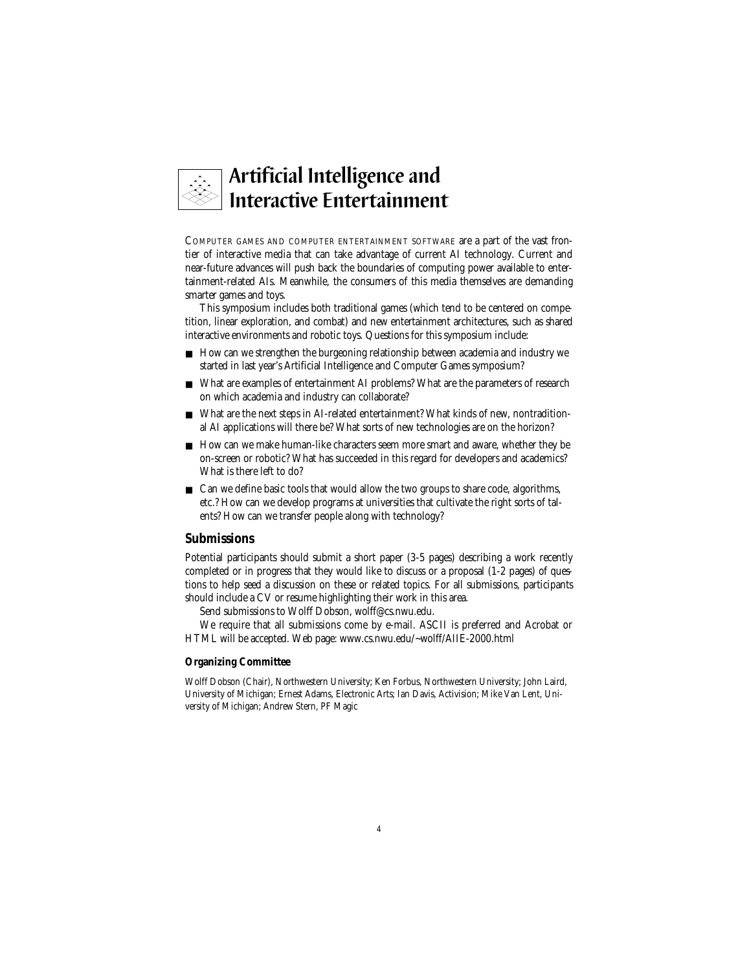

COMPUTER GAMES AND COMPUTER ENTERTAINMENT SOFTWARE are a part of the vast frontier of interactive media that can take advantage of current AI technology. Current and near-future advances will push back the boundaries of computing power available to entertainment-related AIs. Meanwhile, the consumers of this media themselves are demanding smarter games and toys.

This symposium includes both traditional games (which tend to be centered on competition, linear exploration, and combat) and new entertainment architectures, such as shared interactive environments and robotic toys. Questions for this symposium include:

- How can we strengthen the burgeoning relationship between academia and industry we started in last year's Artificial Intelligence and Computer Games symposium?
- What are examples of entertainment AI problems? What are the parameters of research on which academia and industry can collaborate?
- What are the next steps in AI-related entertainment? What kinds of new, nontraditional AI applications will there be? What sorts of new technologies are on the horizon?
- How can we make human-like characters seem more smart and aware, whether they be on-screen or robotic? What has succeeded in this regard for developers and academics? What is there left to do?
- Can we define basic tools that would allow the two groups to share code, algorithms, etc.? How can we develop programs at universities that cultivate the right sorts of talents? How can we transfer people along with technology?

#### **Submissions**

Potential participants should submit a short paper (3-5 pages) describing a work recently completed or in progress that they would like to discuss or a proposal (1-2 pages) of questions to help seed a discussion on these or related topics. For all submissions, participants should include a CV or resume highlighting their work in this area.

Send submissions to Wolff Dobson, wolff@cs.nwu.edu.

We require that all submissions come by e-mail. ASCII is preferred and Acrobat or HTML will be accepted. Web page: www.cs.nwu.edu/~wolff/AIIE-2000.html

#### **Organizing Committee**

Wolff Dobson (Chair), Northwestern University; Ken Forbus, Northwestern University; John Laird, University of Michigan; Ernest Adams, Electronic Arts; Ian Davis, Activision; Mike Van Lent, University of Michigan; Andrew Stern, PF Magic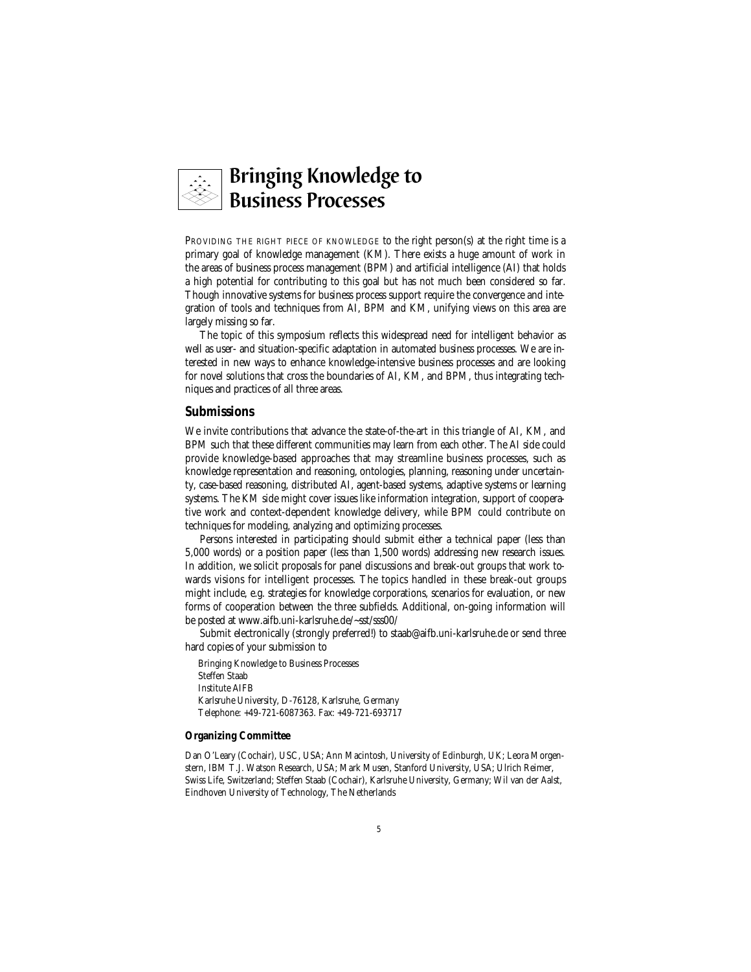

PROVIDING THE RIGHT PIECE OF KNOWLEDGE to the right person(s) at the right time is a primary goal of knowledge management (KM). There exists a huge amount of work in the areas of business process management (BPM) and artificial intelligence (AI) that holds a high potential for contributing to this goal but has not much been considered so far. Though innovative systems for business process support require the convergence and integration of tools and techniques from AI, BPM and KM, unifying views on this area are largely missing so far.

The topic of this symposium reflects this widespread need for intelligent behavior as well as user- and situation-specific adaptation in automated business processes. We are interested in new ways to enhance knowledge-intensive business processes and are looking for novel solutions that cross the boundaries of AI, KM, and BPM, thus integrating techniques and practices of all three areas.

#### **Submissions**

We invite contributions that advance the state-of-the-art in this triangle of AI, KM, and BPM such that these different communities may learn from each other. The AI side could provide knowledge-based approaches that may streamline business processes, such as knowledge representation and reasoning, ontologies, planning, reasoning under uncertainty, case-based reasoning, distributed AI, agent-based systems, adaptive systems or learning systems. The KM side might cover issues like information integration, support of cooperative work and context-dependent knowledge delivery, while BPM could contribute on techniques for modeling, analyzing and optimizing processes.

Persons interested in participating should submit either a technical paper (less than 5,000 words) or a position paper (less than 1,500 words) addressing new research issues. In addition, we solicit proposals for panel discussions and break-out groups that work towards visions for intelligent processes. The topics handled in these break-out groups might include, e.g. strategies for knowledge corporations, scenarios for evaluation, or new forms of cooperation between the three subfields. Additional, on-going information will be posted at www.aifb.uni-karlsruhe.de/~sst/sss00/

Submit electronically (strongly preferred!) to staab@aifb.uni-karlsruhe.de or send three hard copies of your submission to

Bringing Knowledge to Business Processes Steffen Staab Institute AIFB Karlsruhe University, D-76128, Karlsruhe, Germany Telephone: +49-721-6087363. Fax: +49-721-693717

#### **Organizing Committee**

Dan O'Leary (Cochair), USC, USA; Ann Macintosh, University of Edinburgh, UK; Leora Morgenstern, IBM T.J. Watson Research, USA; Mark Musen, Stanford University, USA; Ulrich Reimer, Swiss Life, Switzerland; Steffen Staab (Cochair), Karlsruhe University, Germany; Wil van der Aalst, Eindhoven University of Technology, The Netherlands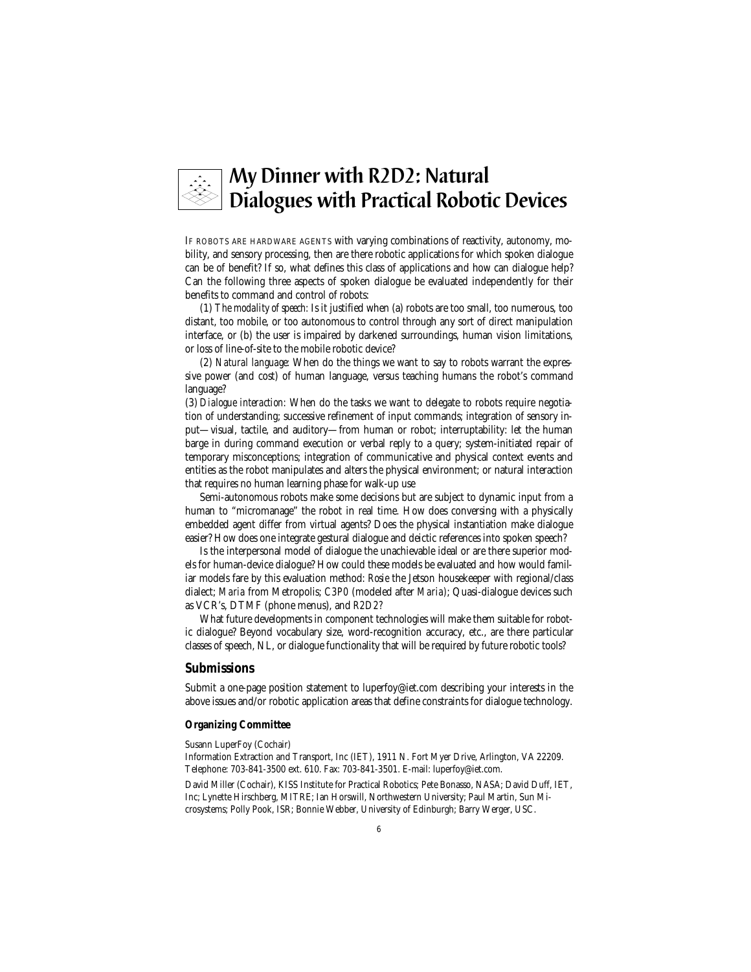

IF ROBOTS ARE HARDWARE AGENTS with varying combinations of reactivity, autonomy, mobility, and sensory processing, then are there robotic applications for which spoken dialogue can be of benefit? If so, what defines this class of applications and how can dialogue help? Can the following three aspects of spoken dialogue be evaluated independently for their benefits to command and control of robots:

(1) *The modality of speech:* Is it justified when (a) robots are too small, too numerous, too distant, too mobile, or too autonomous to control through any sort of direct manipulation interface, or (b) the user is impaired by darkened surroundings, human vision limitations, or loss of line-of-site to the mobile robotic device?

(2) *Natural language:* When do the things we want to say to robots warrant the expressive power (and cost) of human language, versus teaching humans the robot's command language?

(3) *Dialogue interaction:* When do the tasks we want to delegate to robots require negotiation of understanding; successive refinement of input commands; integration of sensory input—visual, tactile, and auditory—from human or robot; interruptability: let the human barge in during command execution or verbal reply to a query; system-initiated repair of temporary misconceptions; integration of communicative and physical context events and entities as the robot manipulates and alters the physical environment; or natural interaction that requires no human learning phase for walk-up use

Semi-autonomous robots make some decisions but are subject to dynamic input from a human to "micromanage" the robot in real time. How does conversing with a physically embedded agent differ from virtual agents? Does the physical instantiation make dialogue easier? How does one integrate gestural dialogue and deictic references into spoken speech?

Is the interpersonal model of dialogue the unachievable ideal or are there superior models for human-device dialogue? How could these models be evaluated and how would familiar models fare by this evaluation method: *Rosie* the Jetson housekeeper with regional/class dialect; *Maria* from Metropolis; *C3P0* (modeled after *Maria)*; Quasi-dialogue devices such as VCR's, DTMF (phone menus), and *R2D2?*

What future developments in component technologies will make them suitable for robotic dialogue? Beyond vocabulary size, word-recognition accuracy, etc., are there particular classes of speech, NL, or dialogue functionality that will be required by future robotic tools?

#### **Submissions**

Submit a one-page position statement to luperfoy@iet.com describing your interests in the above issues and/or robotic application areas that define constraints for dialogue technology.

#### **Organizing Committee**

Susann LuperFoy (Cochair)

Information Extraction and Transport, Inc (IET), 1911 N. Fort Myer Drive, Arlington, VA 22209. Telephone: 703-841-3500 ext. 610. Fax: 703-841-3501. E-mail: luperfoy@iet.com.

David Miller (Cochair), KISS Institute for Practical Robotics; Pete Bonasso, NASA; David Duff, IET, Inc; Lynette Hirschberg, MITRE; Ian Horswill, Northwestern University; Paul Martin, Sun Microsystems; Polly Pook, ISR; Bonnie Webber, University of Edinburgh; Barry Werger, USC.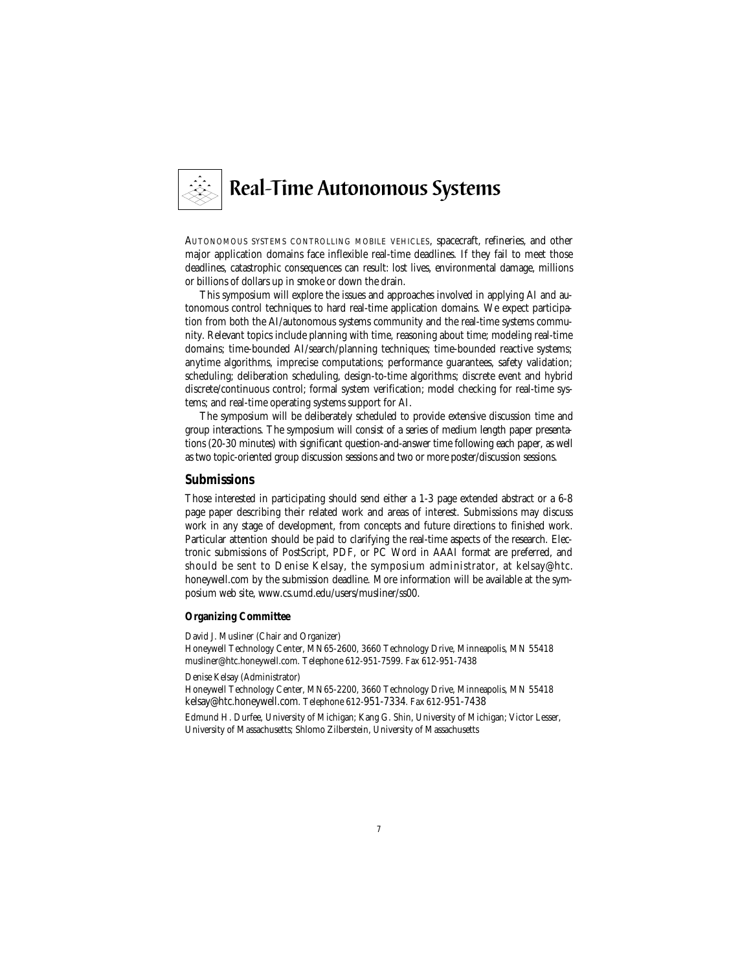

AUTONOMOUS SYSTEMS CONTROLLING MOBILE VEHICLES, spacecraft, refineries, and other major application domains face inflexible real-time deadlines. If they fail to meet those deadlines, catastrophic consequences can result: lost lives, environmental damage, millions or billions of dollars up in smoke or down the drain.

This symposium will explore the issues and approaches involved in applying AI and autonomous control techniques to hard real-time application domains. We expect participation from both the AI/autonomous systems community and the real-time systems community. Relevant topics include planning with time, reasoning about time; modeling real-time domains; time-bounded AI/search/planning techniques; time-bounded reactive systems; anytime algorithms, imprecise computations; performance guarantees, safety validation; scheduling; deliberation scheduling, design-to-time algorithms; discrete event and hybrid discrete/continuous control; formal system verification; model checking for real-time systems; and real-time operating systems support for AI.

The symposium will be deliberately scheduled to provide extensive discussion time and group interactions. The symposium will consist of a series of medium length paper presentations (20-30 minutes) with significant question-and-answer time following each paper, as well as two topic-oriented group discussion sessions and two or more poster/discussion sessions.

#### **Submissions**

Those interested in participating should send either a 1-3 page extended abstract or a 6-8 page paper describing their related work and areas of interest. Submissions may discuss work in any stage of development, from concepts and future directions to finished work. Particular attention should be paid to clarifying the real-time aspects of the research. Electronic submissions of PostScript, PDF, or PC Word in AAAI format are preferred, and should be sent to Denise Kelsay, the symposium administrator, at kelsay@htc. honeywell.com by the submission deadline. More information will be available at the symposium web site, www.cs.umd.edu/users/musliner/ss00.

#### **Organizing Committee**

David J. Musliner (Chair and Organizer)

Honeywell Technology Center, MN65-2600, 3660 Technology Drive, Minneapolis, MN 55418 musliner@htc.honeywell.com. Telephone 612-951-7599. Fax 612-951-7438

Denise Kelsay (Administrator)

Honeywell Technology Center, MN65-2200, 3660 Technology Drive, Minneapolis, MN 55418 kelsay@htc.honeywell.com. Telephone 612-951-7334. Fax 612-951-7438

Edmund H. Durfee, University of Michigan; Kang G. Shin, University of Michigan; Victor Lesser, University of Massachusetts; Shlomo Zilberstein, University of Massachusetts